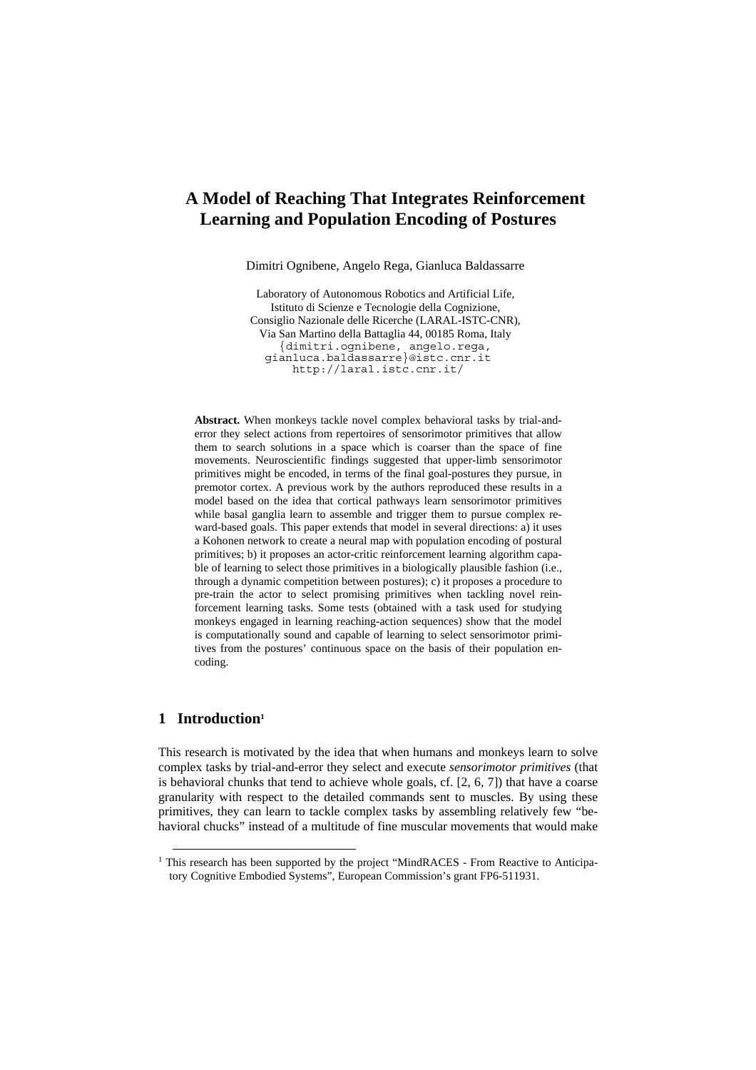# **A Model of Reaching That Integrates Reinforcement Learning and Population Encoding of Postures**

Dimitri Ognibene, Angelo Rega, Gianluca Baldassarre

Laboratory of Autonomous Robotics and Artificial Life, Istituto di Scienze e Tecnologie della Cognizione, Consiglio Nazionale delle Ricerche (LARAL-ISTC-CNR), Via San Martino della Battaglia 44, 00185 Roma, Italy {dimitri.ognibene, angelo.rega, gianluca.baldassarre}@istc.cnr.it http://laral.istc.cnr.it/

**Abstract.** When monkeys tackle novel complex behavioral tasks by trial-anderror they select actions from repertoires of sensorimotor primitives that allow them to search solutions in a space which is coarser than the space of fine movements. Neuroscientific findings suggested that upper-limb sensorimotor primitives might be encoded, in terms of the final goal-postures they pursue, in premotor cortex. A previous work by the authors reproduced these results in a model based on the idea that cortical pathways learn sensorimotor primitives while basal ganglia learn to assemble and trigger them to pursue complex reward-based goals. This paper extends that model in several directions: a) it uses a Kohonen network to create a neural map with population encoding of postural primitives; b) it proposes an actor-critic reinforcement learning algorithm capable of learning to select those primitives in a biologically plausible fashion (i.e., through a dynamic competition between postures); c) it proposes a procedure to pre-train the actor to select promising primitives when tackling novel reinforcement learning tasks. Some tests (obtained with a task used for studying monkeys engaged in learning reaching-action sequences) show that the model is computationally sound and capable of learning to select sensorimotor primitives from the postures' continuous space on the basis of their population encoding.

## **1 Introductio[n1](#page-0-0)**

This research is motivated by the idea that when humans and monkeys learn to solve complex tasks by trial-and-error they select and execute *sensorimotor primitives* (that is behavioral chunks that tend to achieve whole goals, cf. [[2,](#page-11-0) [6,](#page-11-1) [7\]](#page-11-2)) that have a coarse granularity with respect to the detailed commands sent to muscles. By using these primitives, they can learn to tackle complex tasks by assembling relatively few "behavioral chucks" instead of a multitude of fine muscular movements that would make

<span id="page-0-0"></span><sup>&</sup>lt;sup>1</sup> This research has been supported by the project "MindRACES - From Reactive to Anticipatory Cognitive Embodied Systems", European Commission's grant FP6-511931.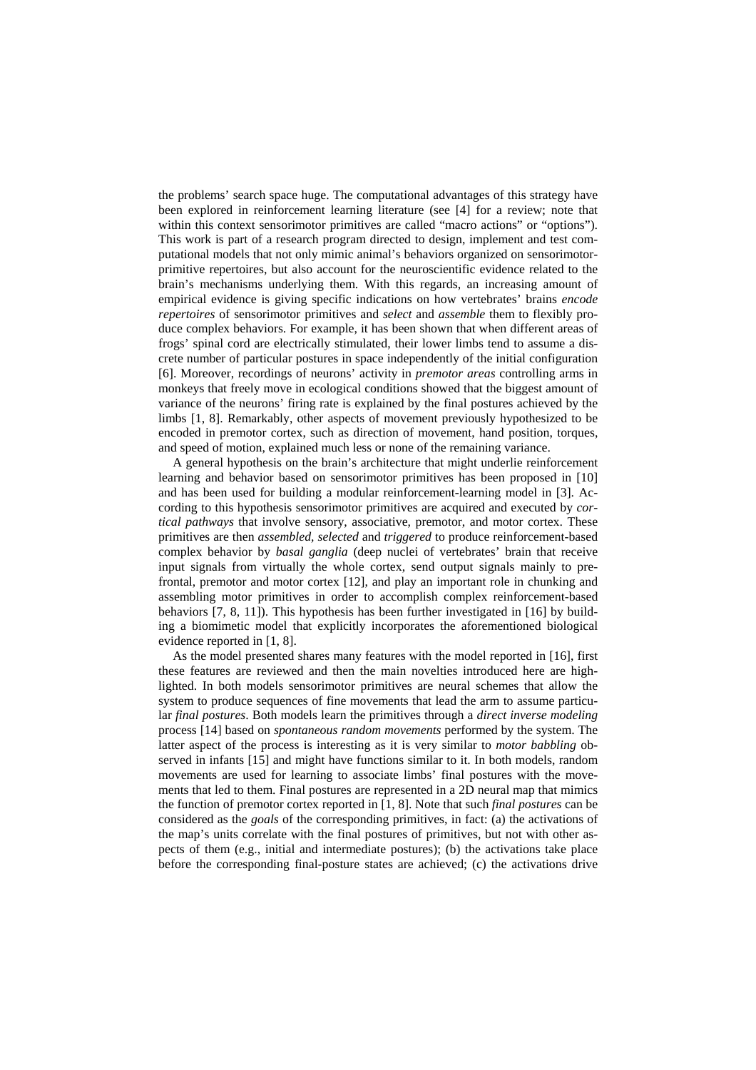the problems' search space huge. The computational advantages of this strategy have been explored in reinforcement learning literature (see [[4\]](#page-11-3) for a review; note that within this context sensorimotor primitives are called "macro actions" or "options"). This work is part of a research program directed to design, implement and test computational models that not only mimic animal's behaviors organized on sensorimotorprimitive repertoires, but also account for the neuroscientific evidence related to the brain's mechanisms underlying them. With this regards, an increasing amount of empirical evidence is giving specific indications on how vertebrates' brains *encode repertoires* of sensorimotor primitives and *select* and *assemble* them to flexibly produce complex behaviors. For example, it has been shown that when different areas of frogs' spinal cord are electrically stimulated, their lower limbs tend to assume a discrete number of particular postures in space independently of the initial configuration [\[6\]](#page-11-1). Moreover, recordings of neurons' activity in *premotor areas* controlling arms in monkeys that freely move in ecological conditions showed that the biggest amount of variance of the neurons' firing rate is explained by the final postures achieved by the limbs [[1,](#page-11-4) [8\]](#page-12-0). Remarkably, other aspects of movement previously hypothesized to be encoded in premotor cortex, such as direction of movement, hand position, torques, and speed of motion, explained much less or none of the remaining variance.

A general hypothesis on the brain's architecture that might underlie reinforcement learning and behavior based on sensorimotor primitives has been proposed in [\[10\]](#page-12-1) and has been used for building a modular reinforcement-learning model in [\[3\]](#page-11-5). According to this hypothesis sensorimotor primitives are acquired and executed by *cortical pathways* that involve sensory, associative, premotor, and motor cortex. These primitives are then *assembled, selected* and *triggered* to produce reinforcement-based complex behavior by *basal ganglia* (deep nuclei of vertebrates' brain that receive input signals from virtually the whole cortex, send output signals mainly to prefrontal, premotor and motor cortex [\[12\]](#page-12-2), and play an important role in chunking and assembling motor primitives in order to accomplish complex reinforcement-based behaviors [\[7,](#page-11-2) [8,](#page-12-0) [11\]](#page-12-3)). This hypothesis has been further investigated in [\[16\]](#page-12-4) by building a biomimetic model that explicitly incorporates the aforementioned biological evidence reported in [\[1,](#page-11-4) [8\]](#page-12-0).

As the model presented shares many features with the model reported in [[16\]](#page-12-4), first these features are reviewed and then the main novelties introduced here are highlighted. In both models sensorimotor primitives are neural schemes that allow the system to produce sequences of fine movements that lead the arm to assume particular *final postures*. Both models learn the primitives through a *direct inverse modeling* process [\[14\]](#page-12-5) based on *spontaneous random movements* performed by the system. The latter aspect of the process is interesting as it is very similar to *motor babbling* observed in infants [\[15\]](#page-12-6) and might have functions similar to it. In both models, random movements are used for learning to associate limbs' final postures with the movements that led to them. Final postures are represented in a 2D neural map that mimics the function of premotor cortex reported in [\[1,](#page-11-4) [8\]](#page-12-0). Note that such *final postures* can be considered as the *goals* of the corresponding primitives, in fact: (a) the activations of the map's units correlate with the final postures of primitives, but not with other aspects of them (e.g., initial and intermediate postures); (b) the activations take place before the corresponding final-posture states are achieved; (c) the activations drive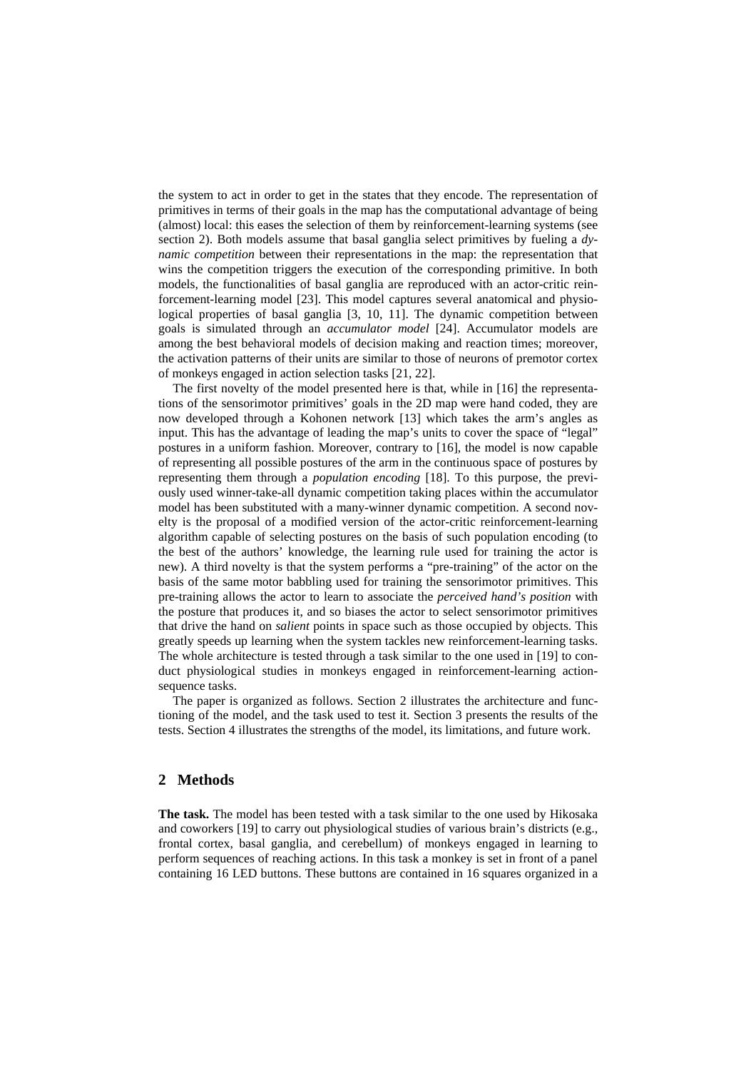the system to act in order to get in the states that they encode. The representation of primitives in terms of their goals in the map has the computational advantage of being (almost) local: this eases the selection of them by reinforcement-learning systems (see section 2). Both models assume that basal ganglia select primitives by fueling a *dynamic competition* between their representations in the map: the representation that wins the competition triggers the execution of the corresponding primitive. In both models, the functionalities of basal ganglia are reproduced with an actor-critic reinforcement-learning model [[23\]](#page-12-7). This model captures several anatomical and physiological properties of basal ganglia [[3,](#page-11-5) [10,](#page-12-1) [11\]](#page-12-3). The dynamic competition between goals is simulated through an *accumulator model* [\[24\]](#page-12-8). Accumulator models are among the best behavioral models of decision making and reaction times; moreover, the activation patterns of their units are similar to those of neurons of premotor cortex of monkeys engaged in action selection tasks [\[21,](#page-12-9) [22\]](#page-12-10).

The first novelty of the model presented here is that, while in [\[16\]](#page-12-4) the representations of the sensorimotor primitives' goals in the 2D map were hand coded, they are now developed through a Kohonen network [[13\]](#page-12-11) which takes the arm's angles as input. This has the advantage of leading the map's units to cover the space of "legal" postures in a uniform fashion. Moreover, contrary to [[16\]](#page-12-4), the model is now capable of representing all possible postures of the arm in the continuous space of postures by representing them through a *population encoding* [[18\]](#page-12-12). To this purpose, the previously used winner-take-all dynamic competition taking places within the accumulator model has been substituted with a many-winner dynamic competition. A second novelty is the proposal of a modified version of the actor-critic reinforcement-learning algorithm capable of selecting postures on the basis of such population encoding (to the best of the authors' knowledge, the learning rule used for training the actor is new). A third novelty is that the system performs a "pre-training" of the actor on the basis of the same motor babbling used for training the sensorimotor primitives. This pre-training allows the actor to learn to associate the *perceived hand's position* with the posture that produces it, and so biases the actor to select sensorimotor primitives that drive the hand on *salient* points in space such as those occupied by objects. This greatly speeds up learning when the system tackles new reinforcement-learning tasks. The whole architecture is tested through a task similar to the one used in [[19\]](#page-12-13) to conduct physiological studies in monkeys engaged in reinforcement-learning actionsequence tasks.

The paper is organized as follows. Section 2 illustrates the architecture and functioning of the model, and the task used to test it. Section 3 presents the results of the tests. Section 4 illustrates the strengths of the model, its limitations, and future work.

### **2 Methods**

**The task.** The model has been tested with a task similar to the one used by Hikosaka and coworkers [[19\]](#page-12-13) to carry out physiological studies of various brain's districts (e.g., frontal cortex, basal ganglia, and cerebellum) of monkeys engaged in learning to perform sequences of reaching actions. In this task a monkey is set in front of a panel containing 16 LED buttons. These buttons are contained in 16 squares organized in a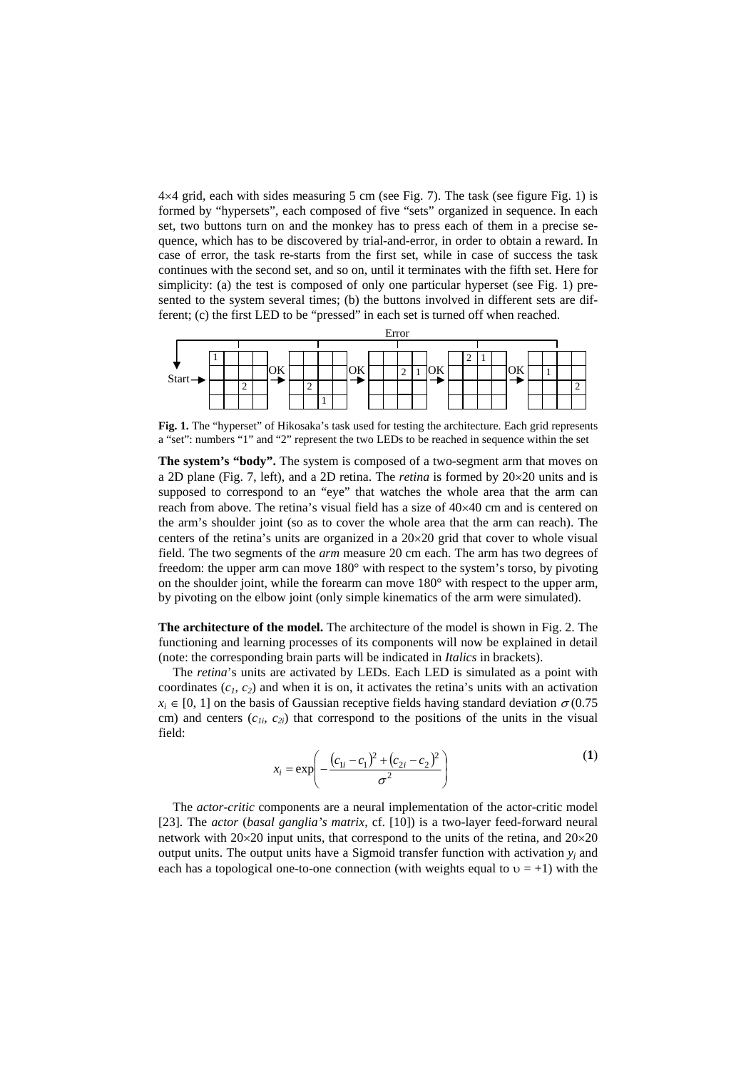$4\times4$  grid, each with sides measuring 5 cm (see [Fig. 7\)](#page-11-6). The task (see figure [Fig. 1\)](#page-3-0) is formed by "hypersets", each composed of five "sets" organized in sequence. In each set, two buttons turn on and the monkey has to press each of them in a precise sequence, which has to be discovered by trial-and-error, in order to obtain a reward. In case of error, the task re-starts from the first set, while in case of success the task continues with the second set, and so on, until it terminates with the fifth set. Here for simplicity: (a) the test is composed of only one particular hyperset (see [Fig. 1\)](#page-3-0) presented to the system several times; (b) the buttons involved in different sets are different; (c) the first LED to be "pressed" in each set is turned off when reached.



<span id="page-3-0"></span>**Fig. 1.** The "hyperset" of Hikosaka's task used for testing the architecture. Each grid represents a "set": numbers "1" and "2" represent the two LEDs to be reached in sequence within the set

**The system's "body".** The system is composed of a two-segment arm that moves on a 2D plane [\(Fig. 7,](#page-11-6) left), and a 2D retina. The *retina* is formed by 20×20 units and is supposed to correspond to an "eye" that watches the whole area that the arm can reach from above. The retina's visual field has a size of 40×40 cm and is centered on the arm's shoulder joint (so as to cover the whole area that the arm can reach). The centers of the retina's units are organized in a  $20\times20$  grid that cover to whole visual field. The two segments of the *arm* measure 20 cm each. The arm has two degrees of freedom: the upper arm can move 180° with respect to the system's torso, by pivoting on the shoulder joint, while the forearm can move 180° with respect to the upper arm, by pivoting on the elbow joint (only simple kinematics of the arm were simulated).

**The architecture of the model.** The architecture of the model is shown in [Fig. 2.](#page-4-0) The functioning and learning processes of its components will now be explained in detail (note: the corresponding brain parts will be indicated in *Italics* in brackets).

The *retina*'s units are activated by LEDs. Each LED is simulated as a point with coordinates  $(c_1, c_2)$  and when it is on, it activates the retina's units with an activation  $x_i \in [0, 1]$  on the basis of Gaussian receptive fields having standard deviation  $\sigma(0.75)$ cm) and centers  $(c_{1i}, c_{2i})$  that correspond to the positions of the units in the visual field:

$$
x_i = \exp\left(-\frac{(c_{1i} - c_1)^2 + (c_{2i} - c_2)^2}{\sigma^2}\right)
$$
 (1)

The *actor-critic* components are a neural implementation of the actor-critic model [\[23\]](#page-12-7). The *actor* (*basal ganglia's matrix,* cf. [[10\]](#page-12-1)) is a two-layer feed-forward neural network with  $20\times20$  input units, that correspond to the units of the retina, and  $20\times20$ output units. The output units have a Sigmoid transfer function with activation  $y_i$  and each has a topological one-to-one connection (with weights equal to  $v = +1$ ) with the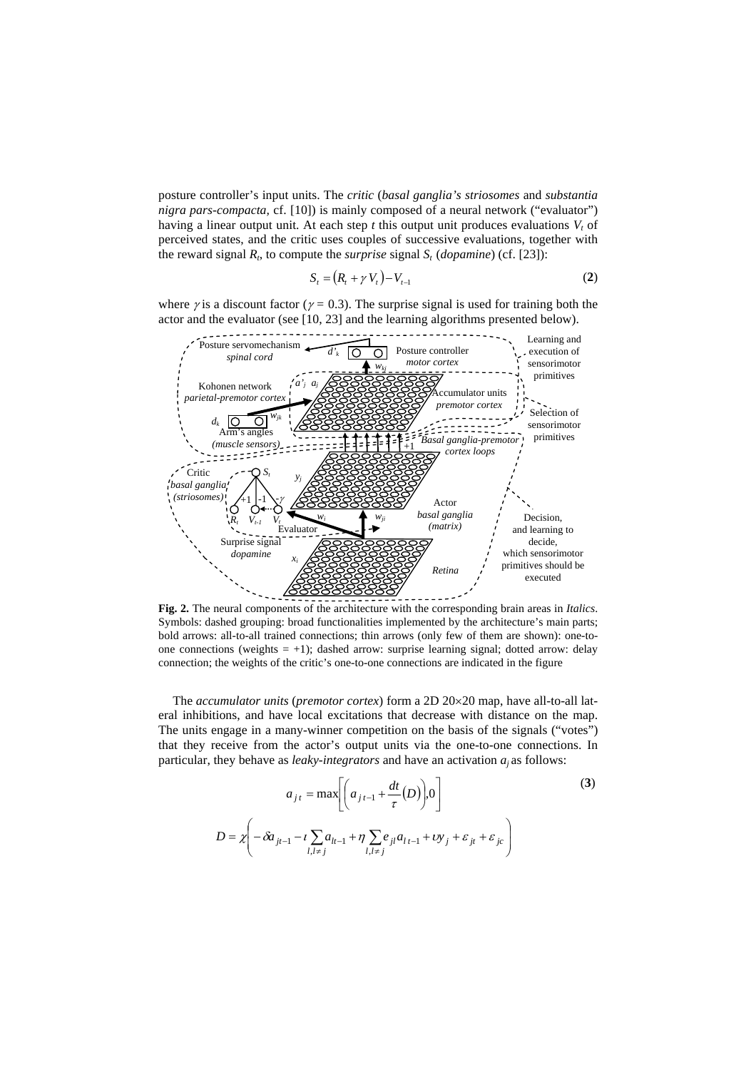posture controller's input units. The *critic* (*basal ganglia's striosomes* and *substantia nigra pars-compacta,* cf. [[10\]](#page-12-1)) is mainly composed of a neural network ("evaluator") having a linear output unit. At each step  $t$  this output unit produces evaluations  $V_t$  of perceived states, and the critic uses couples of successive evaluations, together with the reward signal  $R_t$ , to compute the *surprise* signal  $S_t$  (*dopamine*) (cf. [[23\]](#page-12-7)):

$$
S_t = (R_t + \gamma V_t) - V_{t-1}
$$
 (2)

where  $\gamma$  is a discount factor ( $\gamma = 0.3$ ). The surprise signal is used for training both the actor and the evaluator (see [\[10,](#page-12-1) [23\]](#page-12-7) and the learning algorithms presented below).



<span id="page-4-0"></span>**Fig. 2.** The neural components of the architecture with the corresponding brain areas in *Italics*. Symbols: dashed grouping: broad functionalities implemented by the architecture's main parts; bold arrows: all-to-all trained connections; thin arrows (only few of them are shown): one-toone connections (weights  $= +1$ ); dashed arrow: surprise learning signal; dotted arrow: delay connection; the weights of the critic's one-to-one connections are indicated in the figure

The *accumulator units* (*premotor cortex*) form a 2D 20×20 map, have all-to-all lateral inhibitions, and have local excitations that decrease with distance on the map. The units engage in a many-winner competition on the basis of the signals ("votes") that they receive from the actor's output units via the one-to-one connections. In particular, they behave as *leaky-integrators* and have an activation *aj* as follows:

$$
a_{jt} = \max \left[ \left( a_{jt-1} + \frac{dt}{\tau}(D) \right) 0 \right]
$$
\n
$$
D = \chi \left( -\delta a_{jt-1} - t \sum_{l,l \neq j} a_{lt-1} + \eta \sum_{l,l \neq j} e_{jl} a_{lt-1} + \nu y_j + \varepsilon_{jt} + \varepsilon_{jc} \right)
$$
\n(3)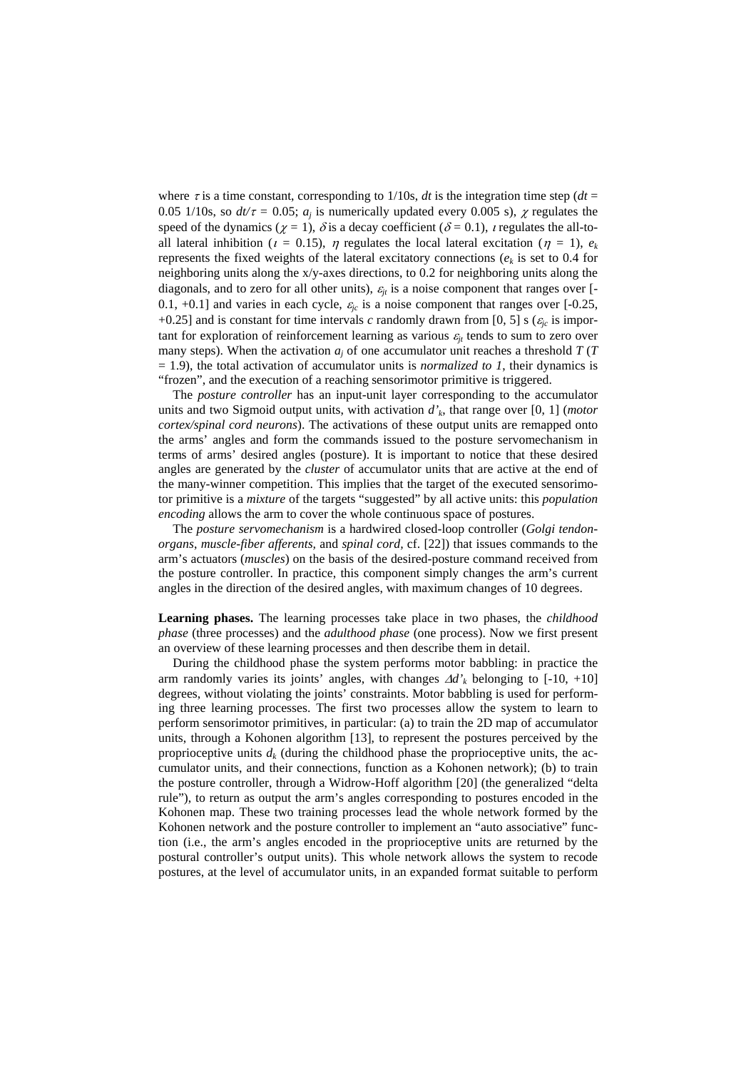where  $\tau$  is a time constant, corresponding to 1/10s, *dt* is the integration time step (*dt* = 0.05 1/10s, so  $dt/\tau = 0.05$ ;  $a_i$  is numerically updated every 0.005 s),  $\chi$  regulates the speed of the dynamics ( $\chi$  = 1),  $\delta$  is a decay coefficient ( $\delta$  = 0.1), *t* regulates the all-toall lateral inhibition ( $i = 0.15$ ),  $\eta$  regulates the local lateral excitation ( $\eta = 1$ ),  $e_k$ represents the fixed weights of the lateral excitatory connections ( $e_k$  is set to 0.4 for neighboring units along the x/y-axes directions, to 0.2 for neighboring units along the diagonals, and to zero for all other units),  $\varepsilon_{jt}$  is a noise component that ranges over [-0.1, +0.1] and varies in each cycle,  $\varepsilon_{jc}$  is a noise component that ranges over [-0.25, +0.25] and is constant for time intervals *c* randomly drawn from [0, 5] s ( $\varepsilon_{i,c}$  is important for exploration of reinforcement learning as various  $\varepsilon_{it}$  tends to sum to zero over many steps). When the activation  $a_i$  of one accumulator unit reaches a threshold  $T(T)$ = 1.9), the total activation of accumulator units is *normalized to 1*, their dynamics is "frozen", and the execution of a reaching sensorimotor primitive is triggered.

The *posture controller* has an input-unit layer corresponding to the accumulator units and two Sigmoid output units, with activation  $d'_{k}$ , that range over [0, 1] (*motor cortex/spinal cord neurons*). The activations of these output units are remapped onto the arms' angles and form the commands issued to the posture servomechanism in terms of arms' desired angles (posture). It is important to notice that these desired angles are generated by the *cluster* of accumulator units that are active at the end of the many-winner competition. This implies that the target of the executed sensorimotor primitive is a *mixture* of the targets "suggested" by all active units: this *population encoding* allows the arm to cover the whole continuous space of postures.

The *posture servomechanism* is a hardwired closed-loop controller (*Golgi tendonorgans*, *muscle-fiber afferents,* and *spinal cord,* cf. [\[22\]](#page-12-10)) that issues commands to the arm's actuators (*muscles*) on the basis of the desired-posture command received from the posture controller. In practice, this component simply changes the arm's current angles in the direction of the desired angles, with maximum changes of 10 degrees.

**Learning phases.** The learning processes take place in two phases, the *childhood phase* (three processes) and the *adulthood phase* (one process). Now we first present an overview of these learning processes and then describe them in detail.

During the childhood phase the system performs motor babbling: in practice the arm randomly varies its joints' angles, with changes ∆*d'k* belonging to [-10, +10] degrees, without violating the joints' constraints. Motor babbling is used for performing three learning processes. The first two processes allow the system to learn to perform sensorimotor primitives, in particular: (a) to train the 2D map of accumulator units, through a Kohonen algorithm [[13\]](#page-12-11), to represent the postures perceived by the proprioceptive units  $d_k$  (during the childhood phase the proprioceptive units, the accumulator units, and their connections, function as a Kohonen network); (b) to train the posture controller, through a Widrow-Hoff algorithm [\[20\]](#page-12-14) (the generalized "delta rule"), to return as output the arm's angles corresponding to postures encoded in the Kohonen map. These two training processes lead the whole network formed by the Kohonen network and the posture controller to implement an "auto associative" function (i.e., the arm's angles encoded in the proprioceptive units are returned by the postural controller's output units). This whole network allows the system to recode postures, at the level of accumulator units, in an expanded format suitable to perform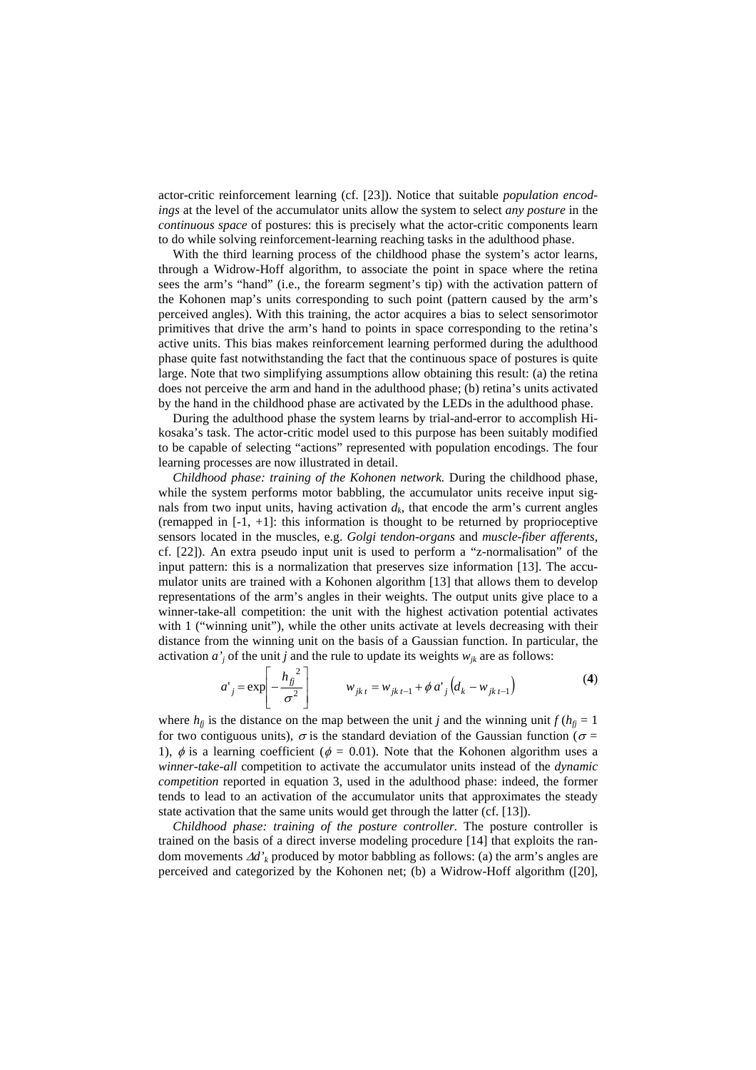actor-critic reinforcement learning (cf. [\[23\]](#page-12-7)). Notice that suitable *population encodings* at the level of the accumulator units allow the system to select *any posture* in the *continuous space* of postures: this is precisely what the actor-critic components learn to do while solving reinforcement-learning reaching tasks in the adulthood phase.

With the third learning process of the childhood phase the system's actor learns, through a Widrow-Hoff algorithm, to associate the point in space where the retina sees the arm's "hand" (i.e., the forearm segment's tip) with the activation pattern of the Kohonen map's units corresponding to such point (pattern caused by the arm's perceived angles). With this training, the actor acquires a bias to select sensorimotor primitives that drive the arm's hand to points in space corresponding to the retina's active units. This bias makes reinforcement learning performed during the adulthood phase quite fast notwithstanding the fact that the continuous space of postures is quite large. Note that two simplifying assumptions allow obtaining this result: (a) the retina does not perceive the arm and hand in the adulthood phase; (b) retina's units activated by the hand in the childhood phase are activated by the LEDs in the adulthood phase.

During the adulthood phase the system learns by trial-and-error to accomplish Hikosaka's task. The actor-critic model used to this purpose has been suitably modified to be capable of selecting "actions" represented with population encodings. The four learning processes are now illustrated in detail.

*Childhood phase: training of the Kohonen network.* During the childhood phase, while the system performs motor babbling, the accumulator units receive input signals from two input units, having activation  $d_k$ , that encode the arm's current angles (remapped in  $[-1, +1]$ : this information is thought to be returned by proprioceptive sensors located in the muscles, e.g. *Golgi tendon-organs* and *muscle-fiber afferents*, cf. [\[22\]](#page-12-10)). An extra pseudo input unit is used to perform a "z-normalisation" of the input pattern: this is a normalization that preserves size information [\[13\]](#page-12-11). The accumulator units are trained with a Kohonen algorithm [\[13\]](#page-12-11) that allows them to develop representations of the arm's angles in their weights. The output units give place to a winner-take-all competition: the unit with the highest activation potential activates with 1 ("winning unit"), while the other units activate at levels decreasing with their distance from the winning unit on the basis of a Gaussian function. In particular, the activation  $a'_j$  of the unit *j* and the rule to update its weights  $w_{jk}$  are as follows:

$$
a'_{j} = \exp\left[-\frac{h_{j\bar{j}}^{2}}{\sigma^{2}}\right] \qquad w_{jkt} = w_{jkt-1} + \phi a'_{j} \left(d_{k} - w_{jkt-1}\right)
$$
 (4)

where  $h_{\tilde{H}}$  is the distance on the map between the unit *j* and the winning unit  $f(h_{\tilde{H}} = 1)$ for two contiguous units),  $\sigma$  is the standard deviation of the Gaussian function ( $\sigma$  = 1),  $\phi$  is a learning coefficient ( $\phi = 0.01$ ). Note that the Kohonen algorithm uses a *winner-take-all* competition to activate the accumulator units instead of the *dynamic competition* reported in equation 3, used in the adulthood phase: indeed, the former tends to lead to an activation of the accumulator units that approximates the steady state activation that the same units would get through the latter (cf. [\[13\]](#page-12-11)).

*Childhood phase: training of the posture controller.* The posture controller is trained on the basis of a direct inverse modeling procedure [\[14\]](#page-12-5) that exploits the random movements ∆*d'k* produced by motor babbling as follows: (a) the arm's angles are perceived and categorized by the Kohonen net; (b) a Widrow-Hoff algorithm ([\[20\]](#page-12-14),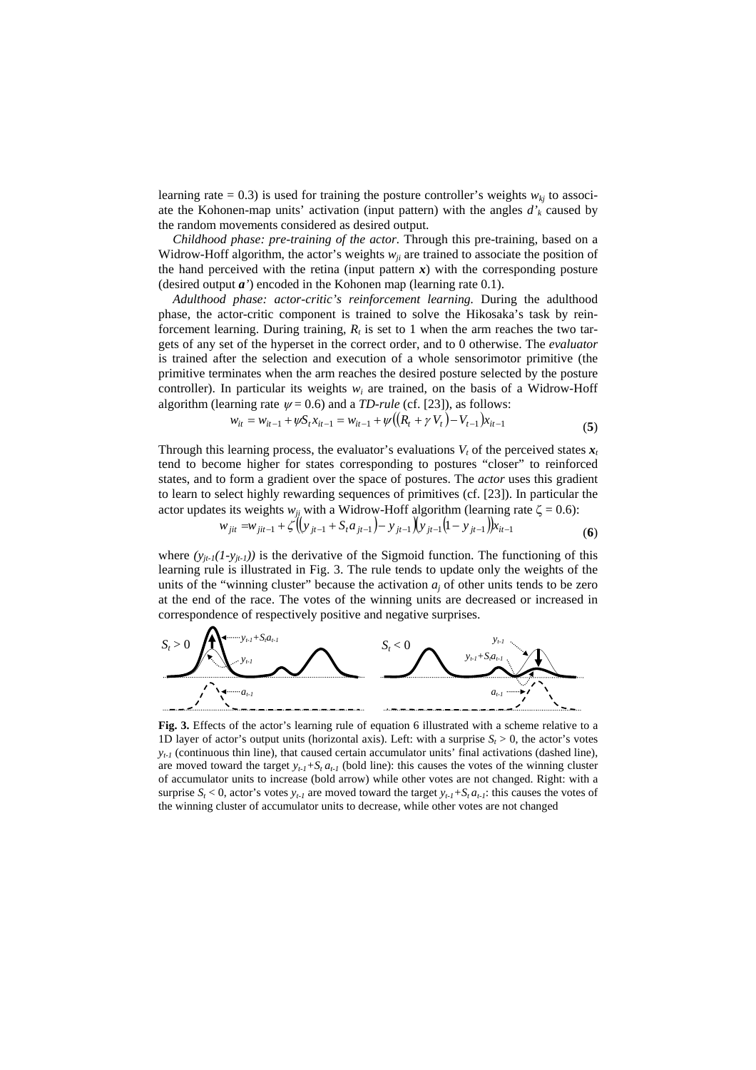learning rate  $= 0.3$ ) is used for training the posture controller's weights  $w_{ki}$  to associate the Kohonen-map units' activation (input pattern) with the angles  $d'_{k}$  caused by the random movements considered as desired output.

*Childhood phase: pre-training of the actor.* Through this pre-training, based on a Widrow-Hoff algorithm, the actor's weights  $w_{ji}$  are trained to associate the position of the hand perceived with the retina (input pattern  $x$ ) with the corresponding posture (desired output *a'*) encoded in the Kohonen map (learning rate 0.1).

*Adulthood phase: actor-critic's reinforcement learning.* During the adulthood phase, the actor-critic component is trained to solve the Hikosaka's task by reinforcement learning. During training,  $R_t$  is set to 1 when the arm reaches the two targets of any set of the hyperset in the correct order, and to 0 otherwise. The *evaluator* is trained after the selection and execution of a whole sensorimotor primitive (the primitive terminates when the arm reaches the desired posture selected by the posture controller). In particular its weights  $w_i$  are trained, on the basis of a Widrow-Hoff algorithm (learning rate  $\psi$  = 0.6) and a *TD-rule* (cf. [[23\]](#page-12-7)), as follows:

$$
w_{it} = w_{it-1} + \psi S_t x_{it-1} = w_{it-1} + \psi ((R_t + \gamma V_t) - V_{t-1}) x_{it-1}
$$
\n(5)

Through this learning process, the evaluator's evaluations  $V_t$  of the perceived states  $x_t$ tend to become higher for states corresponding to postures "closer" to reinforced states, and to form a gradient over the space of postures. The *actor* uses this gradient to learn to select highly rewarding sequences of primitives (cf. [\[23\]](#page-12-7)). In particular the actor updates its weights  $w_{ji}$  with a Widrow-Hoff algorithm (learning rate  $\zeta = 0.6$ ):

$$
w_{jit} = w_{jit-1} + \zeta \Big( \Big( y_{jt-1} + S_t a_{jt-1} \Big) - y_{jt-1} \Big( y_{jt-1} \Big( 1 - y_{jt-1} \Big) \Big) x_{it-1} \tag{6}
$$

where  $(y_{jt-1}(1-y_{jt-1}))$  is the derivative of the Sigmoid function. The functioning of this learning rule is illustrated in [Fig. 3.](#page-7-0) The rule tends to update only the weights of the units of the "winning cluster" because the activation  $a_j$  of other units tends to be zero at the end of the race. The votes of the winning units are decreased or increased in correspondence of respectively positive and negative surprises.



<span id="page-7-0"></span>**Fig. 3.** Effects of the actor's learning rule of equation 6 illustrated with a scheme relative to a 1D layer of actor's output units (horizontal axis). Left: with a surprise  $S_t > 0$ , the actor's votes *yt-1* (continuous thin line), that caused certain accumulator units' final activations (dashed line), are moved toward the target  $y_{t-1}$ +S<sub>t</sub>  $a_{t-1}$  (bold line): this causes the votes of the winning cluster of accumulator units to increase (bold arrow) while other votes are not changed. Right: with a surprise  $S_t < 0$ , actor's votes  $y_{t-1}$  are moved toward the target  $y_{t-1} + S_t a_{t-1}$ : this causes the votes of the winning cluster of accumulator units to decrease, while other votes are not changed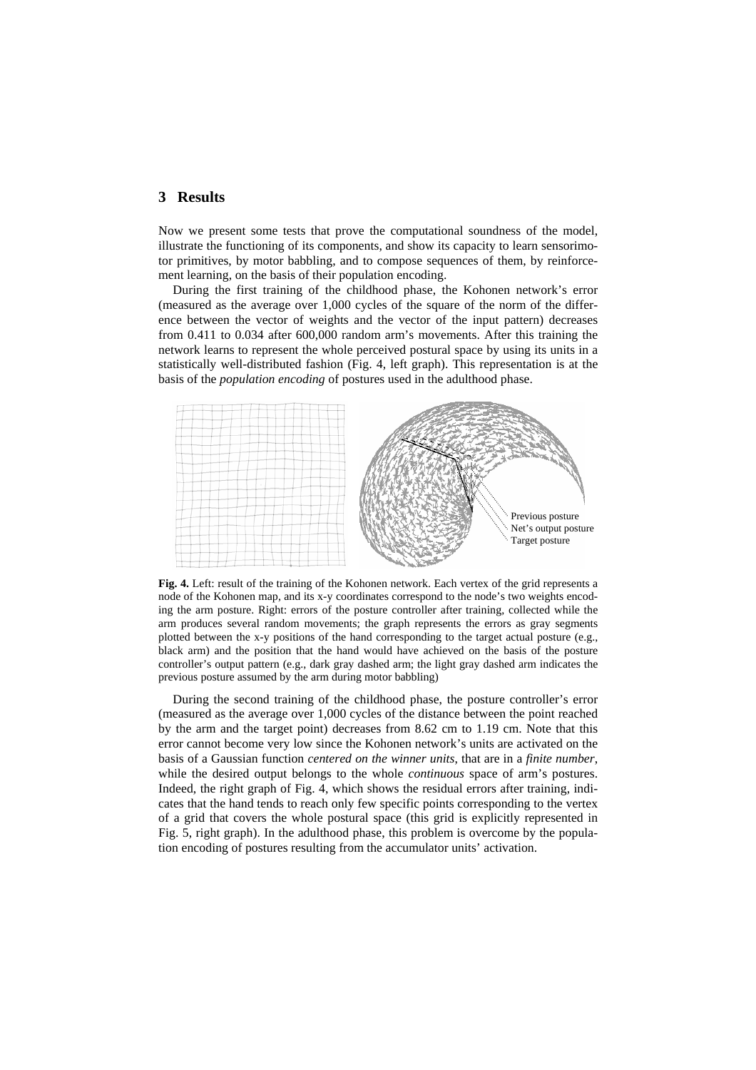## **3 Results**

Now we present some tests that prove the computational soundness of the model, illustrate the functioning of its components, and show its capacity to learn sensorimotor primitives, by motor babbling, and to compose sequences of them, by reinforcement learning, on the basis of their population encoding.

During the first training of the childhood phase, the Kohonen network's error (measured as the average over 1,000 cycles of the square of the norm of the difference between the vector of weights and the vector of the input pattern) decreases from 0.411 to 0.034 after 600,000 random arm's movements. After this training the network learns to represent the whole perceived postural space by using its units in a statistically well-distributed fashion ([Fig. 4,](#page-8-0) left graph). This representation is at the basis of the *population encoding* of postures used in the adulthood phase.

<span id="page-8-0"></span>

**Fig. 4.** Left: result of the training of the Kohonen network. Each vertex of the grid represents a node of the Kohonen map, and its x-y coordinates correspond to the node's two weights encoding the arm posture. Right: errors of the posture controller after training, collected while the arm produces several random movements; the graph represents the errors as gray segments plotted between the x-y positions of the hand corresponding to the target actual posture (e.g., black arm) and the position that the hand would have achieved on the basis of the posture controller's output pattern (e.g., dark gray dashed arm; the light gray dashed arm indicates the previous posture assumed by the arm during motor babbling)

During the second training of the childhood phase, the posture controller's error (measured as the average over 1,000 cycles of the distance between the point reached by the arm and the target point) decreases from 8.62 cm to 1.19 cm. Note that this error cannot become very low since the Kohonen network's units are activated on the basis of a Gaussian function *centered on the winner units*, that are in a *finite number*, while the desired output belongs to the whole *continuous* space of arm's postures. Indeed, the right graph of [Fig. 4,](#page-8-0) which shows the residual errors after training, indicates that the hand tends to reach only few specific points corresponding to the vertex of a grid that covers the whole postural space (this grid is explicitly represented in [Fig. 5,](#page-9-0) right graph). In the adulthood phase, this problem is overcome by the population encoding of postures resulting from the accumulator units' activation.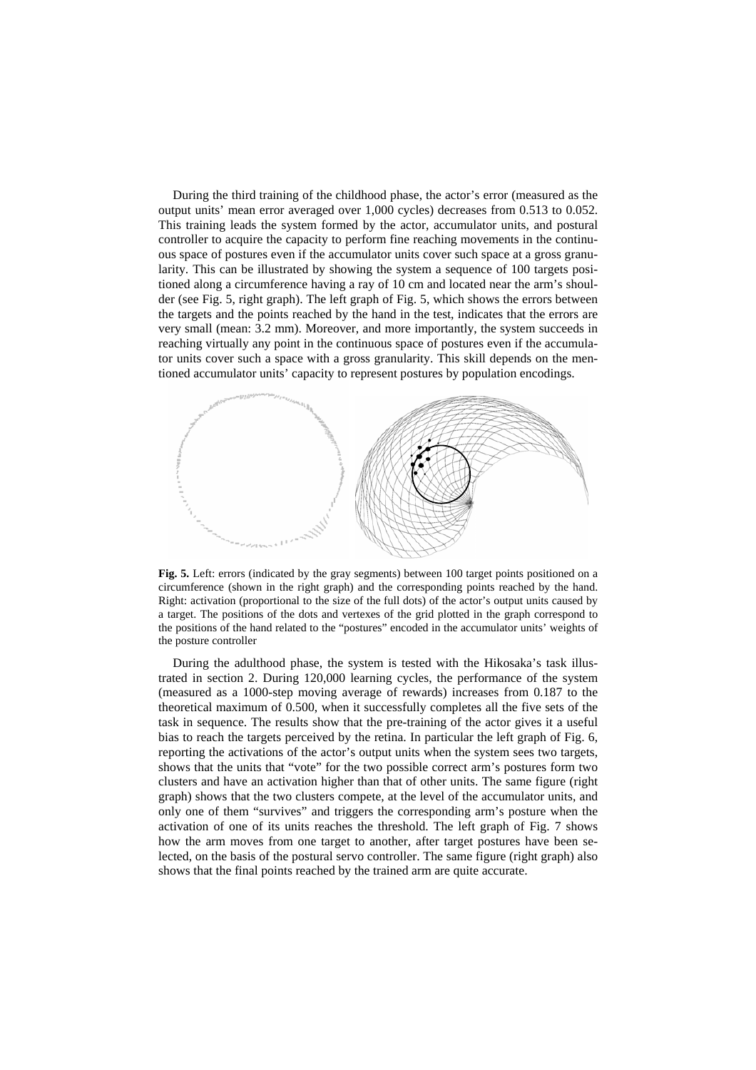During the third training of the childhood phase, the actor's error (measured as the output units' mean error averaged over 1,000 cycles) decreases from 0.513 to 0.052. This training leads the system formed by the actor, accumulator units, and postural controller to acquire the capacity to perform fine reaching movements in the continuous space of postures even if the accumulator units cover such space at a gross granularity. This can be illustrated by showing the system a sequence of 100 targets positioned along a circumference having a ray of 10 cm and located near the arm's shoulder (see [Fig. 5,](#page-9-0) right graph). The left graph of [Fig. 5,](#page-9-0) which shows the errors between the targets and the points reached by the hand in the test, indicates that the errors are very small (mean: 3.2 mm). Moreover, and more importantly, the system succeeds in reaching virtually any point in the continuous space of postures even if the accumulator units cover such a space with a gross granularity. This skill depends on the mentioned accumulator units' capacity to represent postures by population encodings.

<span id="page-9-0"></span>

**Fig. 5.** Left: errors (indicated by the gray segments) between 100 target points positioned on a circumference (shown in the right graph) and the corresponding points reached by the hand. Right: activation (proportional to the size of the full dots) of the actor's output units caused by a target. The positions of the dots and vertexes of the grid plotted in the graph correspond to the positions of the hand related to the "postures" encoded in the accumulator units' weights of the posture controller

During the adulthood phase, the system is tested with the Hikosaka's task illustrated in section 2. During 120,000 learning cycles, the performance of the system (measured as a 1000-step moving average of rewards) increases from 0.187 to the theoretical maximum of 0.500, when it successfully completes all the five sets of the task in sequence. The results show that the pre-training of the actor gives it a useful bias to reach the targets perceived by the retina. In particular the left graph of [Fig. 6,](#page-10-0) reporting the activations of the actor's output units when the system sees two targets, shows that the units that "vote" for the two possible correct arm's postures form two clusters and have an activation higher than that of other units. The same figure (right graph) shows that the two clusters compete, at the level of the accumulator units, and only one of them "survives" and triggers the corresponding arm's posture when the activation of one of its units reaches the threshold. The left graph of [Fig. 7](#page-11-6) shows how the arm moves from one target to another, after target postures have been selected, on the basis of the postural servo controller. The same figure (right graph) also shows that the final points reached by the trained arm are quite accurate.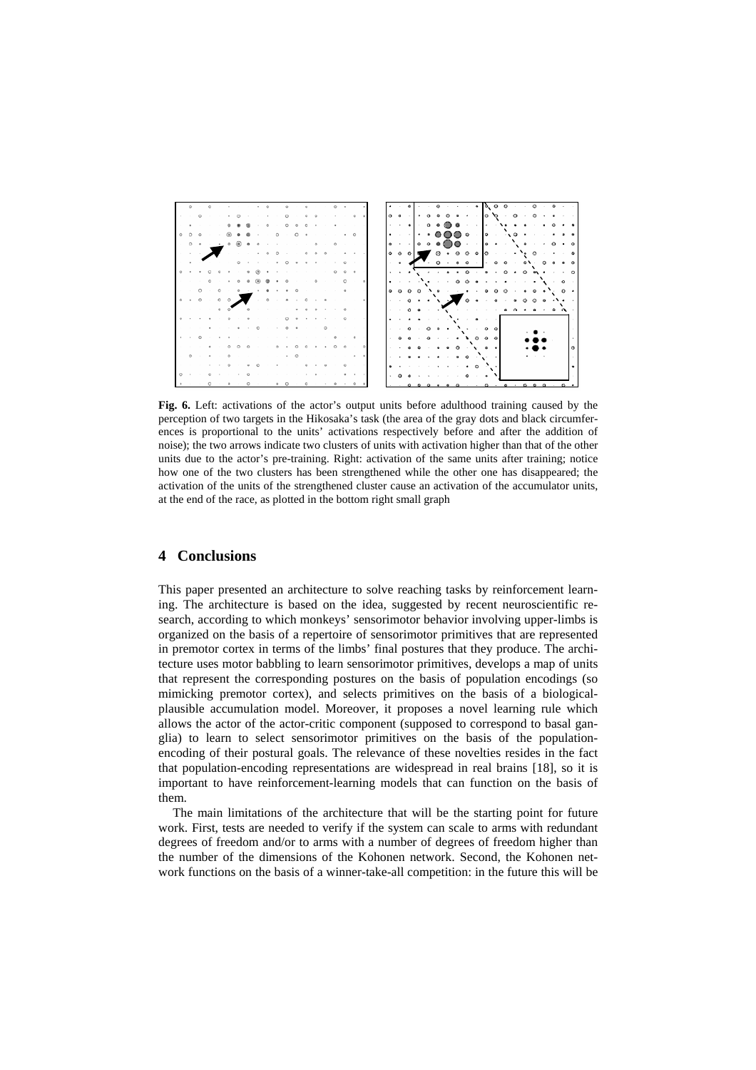<span id="page-10-0"></span>

**Fig. 6.** Left: activations of the actor's output units before adulthood training caused by the perception of two targets in the Hikosaka's task (the area of the gray dots and black circumferences is proportional to the units' activations respectively before and after the addition of noise); the two arrows indicate two clusters of units with activation higher than that of the other units due to the actor's pre-training. Right: activation of the same units after training; notice how one of the two clusters has been strengthened while the other one has disappeared; the activation of the units of the strengthened cluster cause an activation of the accumulator units, at the end of the race, as plotted in the bottom right small graph

#### **4 Conclusions**

This paper presented an architecture to solve reaching tasks by reinforcement learning. The architecture is based on the idea, suggested by recent neuroscientific research, according to which monkeys' sensorimotor behavior involving upper-limbs is organized on the basis of a repertoire of sensorimotor primitives that are represented in premotor cortex in terms of the limbs' final postures that they produce. The architecture uses motor babbling to learn sensorimotor primitives, develops a map of units that represent the corresponding postures on the basis of population encodings (so mimicking premotor cortex), and selects primitives on the basis of a biologicalplausible accumulation model. Moreover, it proposes a novel learning rule which allows the actor of the actor-critic component (supposed to correspond to basal ganglia) to learn to select sensorimotor primitives on the basis of the populationencoding of their postural goals. The relevance of these novelties resides in the fact that population-encoding representations are widespread in real brains [\[18\]](#page-12-12), so it is important to have reinforcement-learning models that can function on the basis of them.

The main limitations of the architecture that will be the starting point for future work. First, tests are needed to verify if the system can scale to arms with redundant degrees of freedom and/or to arms with a number of degrees of freedom higher than the number of the dimensions of the Kohonen network. Second, the Kohonen network functions on the basis of a winner-take-all competition: in the future this will be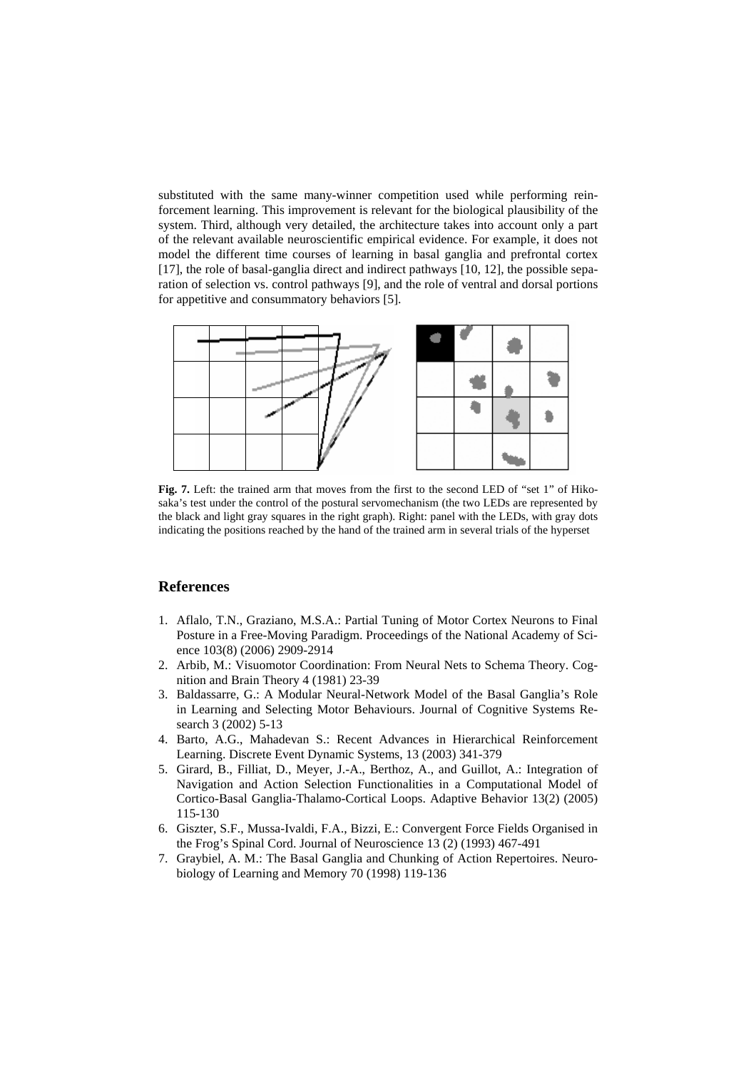substituted with the same many-winner competition used while performing reinforcement learning. This improvement is relevant for the biological plausibility of the system. Third, although very detailed, the architecture takes into account only a part of the relevant available neuroscientific empirical evidence. For example, it does not model the different time courses of learning in basal ganglia and prefrontal cortex [\[17\]](#page-12-15), the role of basal-ganglia direct and indirect pathways [\[10,](#page-12-1) [12\]](#page-12-2), the possible separation of selection vs. control pathways [\[9\]](#page-12-16), and the role of ventral and dorsal portions for appetitive and consummatory behaviors [[5\]](#page-11-7).

<span id="page-11-6"></span>

**Fig. 7.** Left: the trained arm that moves from the first to the second LED of "set 1" of Hikosaka's test under the control of the postural servomechanism (the two LEDs are represented by the black and light gray squares in the right graph). Right: panel with the LEDs, with gray dots indicating the positions reached by the hand of the trained arm in several trials of the hyperset

# **References**

- <span id="page-11-4"></span>1. Aflalo, T.N., Graziano, M.S.A.: Partial Tuning of Motor Cortex Neurons to Final Posture in a Free-Moving Paradigm. Proceedings of the National Academy of Science 103(8) (2006) 2909-2914
- <span id="page-11-0"></span>2. Arbib, M.: Visuomotor Coordination: From Neural Nets to Schema Theory. Cognition and Brain Theory 4 (1981) 23-39
- <span id="page-11-5"></span>3. Baldassarre, G.: A Modular Neural-Network Model of the Basal Ganglia's Role in Learning and Selecting Motor Behaviours. Journal of Cognitive Systems Research 3 (2002) 5-13
- <span id="page-11-3"></span>4. Barto, A.G., Mahadevan S.: Recent Advances in Hierarchical Reinforcement Learning. Discrete Event Dynamic Systems, 13 (2003) 341-379
- <span id="page-11-7"></span>5. Girard, B., Filliat, D., Meyer, J.-A., Berthoz, A., and Guillot, A.: Integration of Navigation and Action Selection Functionalities in a Computational Model of Cortico-Basal Ganglia-Thalamo-Cortical Loops. Adaptive Behavior 13(2) (2005) 115-130
- <span id="page-11-1"></span>6. Giszter, S.F., Mussa-Ivaldi, F.A., Bizzi, E.: Convergent Force Fields Organised in the Frog's Spinal Cord. Journal of Neuroscience 13 (2) (1993) 467-491
- <span id="page-11-2"></span>7. Graybiel, A. M.: The Basal Ganglia and Chunking of Action Repertoires. Neurobiology of Learning and Memory 70 (1998) 119-136